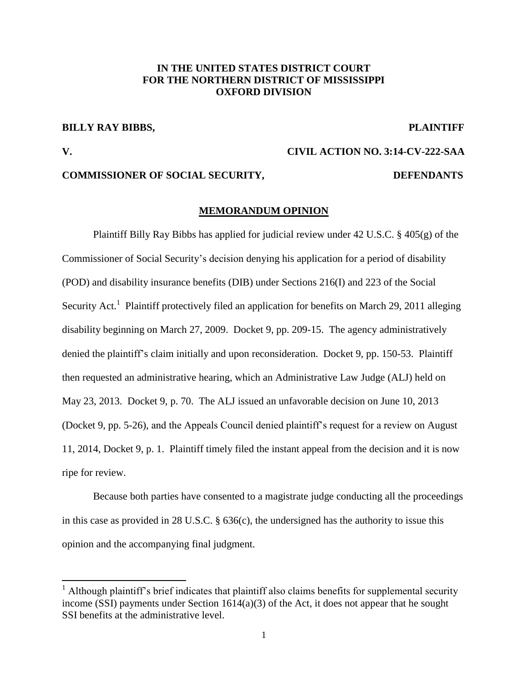# **IN THE UNITED STATES DISTRICT COURT FOR THE NORTHERN DISTRICT OF MISSISSIPPI OXFORD DIVISION**

# **BILLY RAY BIBBS, THE PLAINTIFF**

**V. CIVIL ACTION NO. 3:14-CV-222-SAA**

 $\overline{\phantom{a}}$ 

# **COMMISSIONER OF SOCIAL SECURITY, DEFENDANTS**

## **MEMORANDUM OPINION**

Plaintiff Billy Ray Bibbs has applied for judicial review under 42 U.S.C. § 405(g) of the Commissioner of Social Security's decision denying his application for a period of disability (POD) and disability insurance benefits (DIB) under Sections 216(I) and 223 of the Social Security Act.<sup>1</sup> Plaintiff protectively filed an application for benefits on March 29, 2011 alleging disability beginning on March 27, 2009. Docket 9, pp. 209-15. The agency administratively denied the plaintiff's claim initially and upon reconsideration. Docket 9, pp. 150-53. Plaintiff then requested an administrative hearing, which an Administrative Law Judge (ALJ) held on May 23, 2013. Docket 9, p. 70. The ALJ issued an unfavorable decision on June 10, 2013 (Docket 9, pp. 5-26), and the Appeals Council denied plaintiff's request for a review on August 11, 2014, Docket 9, p. 1. Plaintiff timely filed the instant appeal from the decision and it is now ripe for review.

Because both parties have consented to a magistrate judge conducting all the proceedings in this case as provided in 28 U.S.C. § 636(c), the undersigned has the authority to issue this opinion and the accompanying final judgment.

 $<sup>1</sup>$  Although plaintiff's brief indicates that plaintiff also claims benefits for supplemental security</sup> income (SSI) payments under Section 1614(a)(3) of the Act, it does not appear that he sought SSI benefits at the administrative level.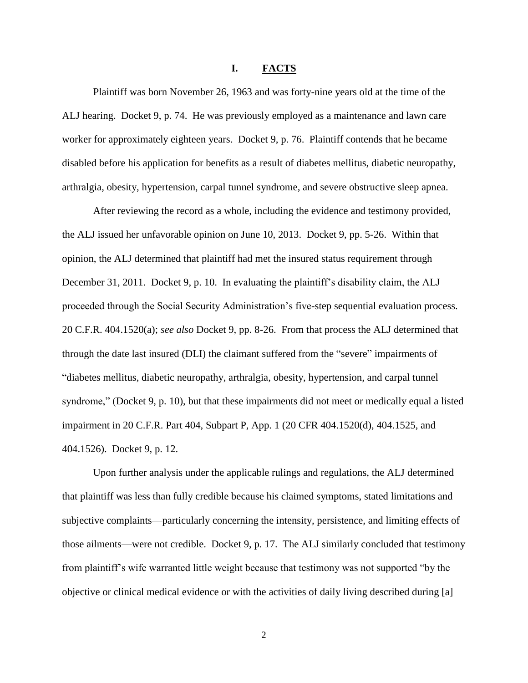## **I. FACTS**

Plaintiff was born November 26, 1963 and was forty-nine years old at the time of the ALJ hearing. Docket 9, p. 74. He was previously employed as a maintenance and lawn care worker for approximately eighteen years. Docket 9, p. 76. Plaintiff contends that he became disabled before his application for benefits as a result of diabetes mellitus, diabetic neuropathy, arthralgia, obesity, hypertension, carpal tunnel syndrome, and severe obstructive sleep apnea.

After reviewing the record as a whole, including the evidence and testimony provided, the ALJ issued her unfavorable opinion on June 10, 2013. Docket 9, pp. 5-26. Within that opinion, the ALJ determined that plaintiff had met the insured status requirement through December 31, 2011. Docket 9, p. 10. In evaluating the plaintiff's disability claim, the ALJ proceeded through the Social Security Administration's five-step sequential evaluation process. 20 C.F.R. 404.1520(a); *see also* Docket 9, pp. 8-26. From that process the ALJ determined that through the date last insured (DLI) the claimant suffered from the "severe" impairments of "diabetes mellitus, diabetic neuropathy, arthralgia, obesity, hypertension, and carpal tunnel syndrome," (Docket 9, p. 10), but that these impairments did not meet or medically equal a listed impairment in 20 C.F.R. Part 404, Subpart P, App. 1 (20 CFR 404.1520(d), 404.1525, and 404.1526). Docket 9, p. 12.

Upon further analysis under the applicable rulings and regulations, the ALJ determined that plaintiff was less than fully credible because his claimed symptoms, stated limitations and subjective complaints—particularly concerning the intensity, persistence, and limiting effects of those ailments—were not credible. Docket 9, p. 17. The ALJ similarly concluded that testimony from plaintiff's wife warranted little weight because that testimony was not supported "by the objective or clinical medical evidence or with the activities of daily living described during [a]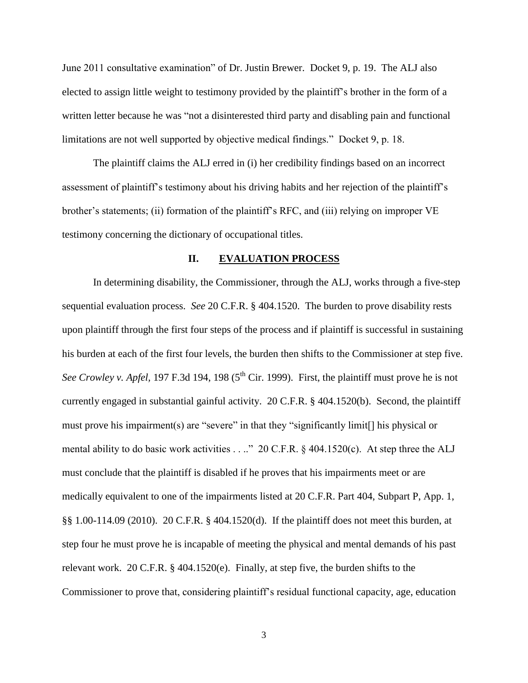June 2011 consultative examination" of Dr. Justin Brewer. Docket 9, p. 19. The ALJ also elected to assign little weight to testimony provided by the plaintiff's brother in the form of a written letter because he was "not a disinterested third party and disabling pain and functional limitations are not well supported by objective medical findings." Docket 9, p. 18.

The plaintiff claims the ALJ erred in (i) her credibility findings based on an incorrect assessment of plaintiff's testimony about his driving habits and her rejection of the plaintiff's brother's statements; (ii) formation of the plaintiff's RFC, and (iii) relying on improper VE testimony concerning the dictionary of occupational titles.

# **II. EVALUATION PROCESS**

In determining disability, the Commissioner, through the ALJ, works through a five-step sequential evaluation process. *See* 20 C.F.R. § 404.1520. The burden to prove disability rests upon plaintiff through the first four steps of the process and if plaintiff is successful in sustaining his burden at each of the first four levels, the burden then shifts to the Commissioner at step five. *See Crowley v. Apfel,* 197 F.3d 194, 198 (5<sup>th</sup> Cir. 1999). First, the plaintiff must prove he is not currently engaged in substantial gainful activity. 20 C.F.R. § 404.1520(b). Second, the plaintiff must prove his impairment(s) are "severe" in that they "significantly limit[] his physical or mental ability to do basic work activities . . .." 20 C.F.R. § 404.1520(c). At step three the ALJ must conclude that the plaintiff is disabled if he proves that his impairments meet or are medically equivalent to one of the impairments listed at 20 C.F.R. Part 404, Subpart P, App. 1, §§ 1.00-114.09 (2010). 20 C.F.R. § 404.1520(d). If the plaintiff does not meet this burden, at step four he must prove he is incapable of meeting the physical and mental demands of his past relevant work. 20 C.F.R. § 404.1520(e). Finally, at step five, the burden shifts to the Commissioner to prove that, considering plaintiff's residual functional capacity, age, education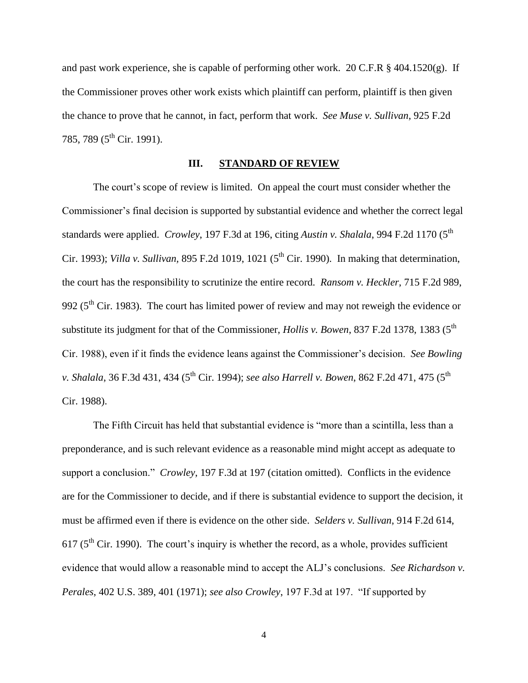and past work experience, she is capable of performing other work. 20 C.F.R  $\S$  404.1520(g). If the Commissioner proves other work exists which plaintiff can perform, plaintiff is then given the chance to prove that he cannot, in fact, perform that work. *See Muse v. Sullivan*, 925 F.2d 785, 789 (5<sup>th</sup> Cir. 1991).

# **III. STANDARD OF REVIEW**

The court's scope of review is limited. On appeal the court must consider whether the Commissioner's final decision is supported by substantial evidence and whether the correct legal standards were applied. *Crowley*, 197 F.3d at 196, citing *Austin v. Shalala*, 994 F.2d 1170 (5<sup>th</sup>) Cir. 1993); *Villa v. Sullivan*, 895 F.2d 1019, 1021 (5<sup>th</sup> Cir. 1990). In making that determination, the court has the responsibility to scrutinize the entire record. *Ransom v. Heckler*, 715 F.2d 989, 992 ( $5<sup>th</sup>$  Cir. 1983). The court has limited power of review and may not reweigh the evidence or substitute its judgment for that of the Commissioner, *Hollis v. Bowen*, 837 F.2d 1378, 1383 (5<sup>th</sup>) Cir. 1988), even if it finds the evidence leans against the Commissioner's decision. *See Bowling v. Shalala*, 36 F.3d 431, 434 (5<sup>th</sup> Cir. 1994); *see also Harrell v. Bowen*, 862 F.2d 471, 475 (5<sup>th</sup> Cir. 1988).

The Fifth Circuit has held that substantial evidence is "more than a scintilla, less than a preponderance, and is such relevant evidence as a reasonable mind might accept as adequate to support a conclusion." *Crowley*, 197 F.3d at 197 (citation omitted). Conflicts in the evidence are for the Commissioner to decide, and if there is substantial evidence to support the decision, it must be affirmed even if there is evidence on the other side. *Selders v. Sullivan*, 914 F.2d 614, 617 ( $5<sup>th</sup>$  Cir. 1990). The court's inquiry is whether the record, as a whole, provides sufficient evidence that would allow a reasonable mind to accept the ALJ's conclusions. *See Richardson v. Perales*, 402 U.S. 389, 401 (1971); *see also Crowley*, 197 F.3d at 197. "If supported by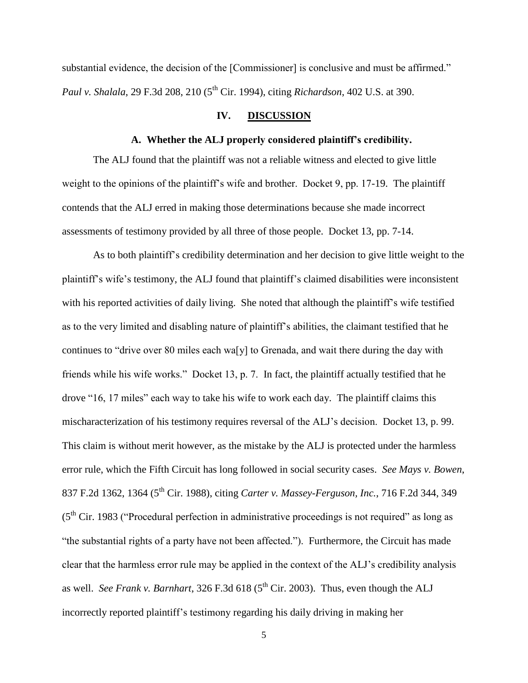substantial evidence, the decision of the [Commissioner] is conclusive and must be affirmed." *Paul v. Shalala*, 29 F.3d 208, 210 (5<sup>th</sup> Cir. 1994), citing *Richardson*, 402 U.S. at 390.

# **IV. DISCUSSION**

# **A. Whether the ALJ properly considered plaintiff's credibility.**

The ALJ found that the plaintiff was not a reliable witness and elected to give little weight to the opinions of the plaintiff's wife and brother. Docket 9, pp. 17-19. The plaintiff contends that the ALJ erred in making those determinations because she made incorrect assessments of testimony provided by all three of those people. Docket 13, pp. 7-14.

As to both plaintiff's credibility determination and her decision to give little weight to the plaintiff's wife's testimony, the ALJ found that plaintiff's claimed disabilities were inconsistent with his reported activities of daily living. She noted that although the plaintiff's wife testified as to the very limited and disabling nature of plaintiff's abilities, the claimant testified that he continues to "drive over 80 miles each wa[y] to Grenada, and wait there during the day with friends while his wife works." Docket 13, p. 7. In fact, the plaintiff actually testified that he drove "16, 17 miles" each way to take his wife to work each day. The plaintiff claims this mischaracterization of his testimony requires reversal of the ALJ's decision. Docket 13, p. 99. This claim is without merit however, as the mistake by the ALJ is protected under the harmless error rule, which the Fifth Circuit has long followed in social security cases. *See Mays v. Bowen*, 837 F.2d 1362, 1364 (5th Cir. 1988), citing *Carter v. Massey-Ferguson, Inc.*, 716 F.2d 344, 349  $(5<sup>th</sup> Cir. 1983)$  ("Procedural perfection in administrative proceedings is not required" as long as "the substantial rights of a party have not been affected."). Furthermore, the Circuit has made clear that the harmless error rule may be applied in the context of the ALJ's credibility analysis as well. *See Frank v. Barnhart*, 326 F.3d 618 ( $5<sup>th</sup>$  Cir. 2003). Thus, even though the ALJ incorrectly reported plaintiff's testimony regarding his daily driving in making her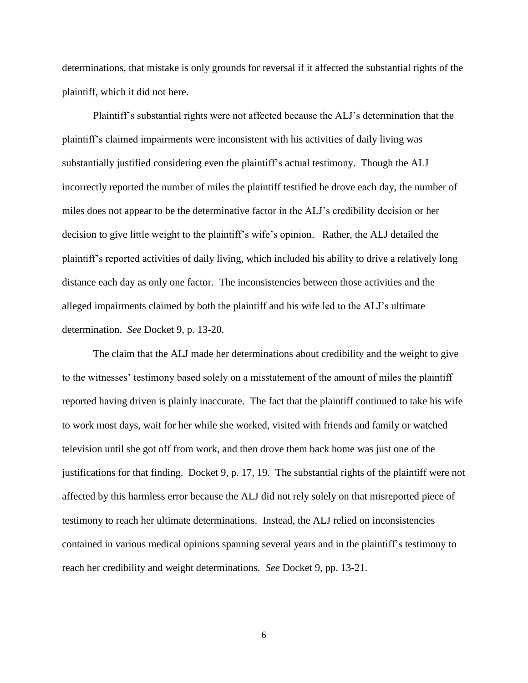determinations, that mistake is only grounds for reversal if it affected the substantial rights of the plaintiff, which it did not here.

Plaintiff's substantial rights were not affected because the ALJ's determination that the plaintiff's claimed impairments were inconsistent with his activities of daily living was substantially justified considering even the plaintiff's actual testimony. Though the ALJ incorrectly reported the number of miles the plaintiff testified he drove each day, the number of miles does not appear to be the determinative factor in the ALJ's credibility decision or her decision to give little weight to the plaintiff's wife's opinion. Rather, the ALJ detailed the plaintiff's reported activities of daily living, which included his ability to drive a relatively long distance each day as only one factor. The inconsistencies between those activities and the alleged impairments claimed by both the plaintiff and his wife led to the ALJ's ultimate determination. *See* Docket 9, p. 13-20.

The claim that the ALJ made her determinations about credibility and the weight to give to the witnesses' testimony based solely on a misstatement of the amount of miles the plaintiff reported having driven is plainly inaccurate. The fact that the plaintiff continued to take his wife to work most days, wait for her while she worked, visited with friends and family or watched television until she got off from work, and then drove them back home was just one of the justifications for that finding. Docket 9, p. 17, 19. The substantial rights of the plaintiff were not affected by this harmless error because the ALJ did not rely solely on that misreported piece of testimony to reach her ultimate determinations. Instead, the ALJ relied on inconsistencies contained in various medical opinions spanning several years and in the plaintiff's testimony to reach her credibility and weight determinations. *See* Docket 9, pp. 13-21.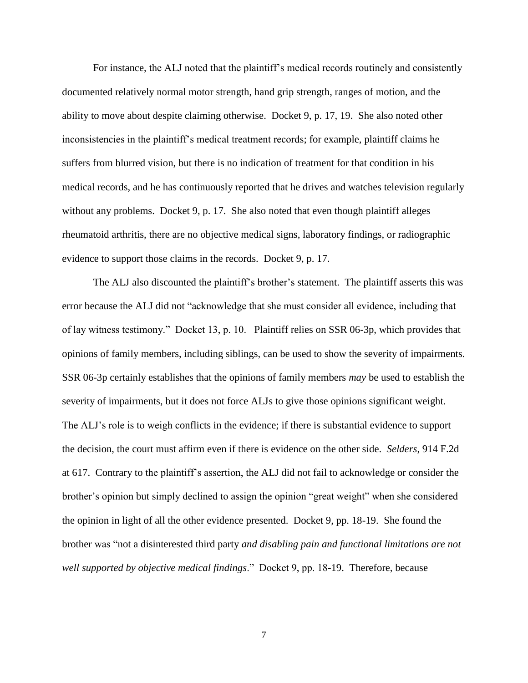For instance, the ALJ noted that the plaintiff's medical records routinely and consistently documented relatively normal motor strength, hand grip strength, ranges of motion, and the ability to move about despite claiming otherwise. Docket 9, p. 17, 19. She also noted other inconsistencies in the plaintiff's medical treatment records; for example, plaintiff claims he suffers from blurred vision, but there is no indication of treatment for that condition in his medical records, and he has continuously reported that he drives and watches television regularly without any problems. Docket 9, p. 17. She also noted that even though plaintiff alleges rheumatoid arthritis, there are no objective medical signs, laboratory findings, or radiographic evidence to support those claims in the records. Docket 9, p. 17.

The ALJ also discounted the plaintiff's brother's statement. The plaintiff asserts this was error because the ALJ did not "acknowledge that she must consider all evidence, including that of lay witness testimony." Docket 13, p. 10. Plaintiff relies on SSR 06-3p, which provides that opinions of family members, including siblings, can be used to show the severity of impairments. SSR 06-3p certainly establishes that the opinions of family members *may* be used to establish the severity of impairments, but it does not force ALJs to give those opinions significant weight. The ALJ's role is to weigh conflicts in the evidence; if there is substantial evidence to support the decision, the court must affirm even if there is evidence on the other side. *Selders*, 914 F.2d at 617. Contrary to the plaintiff's assertion, the ALJ did not fail to acknowledge or consider the brother's opinion but simply declined to assign the opinion "great weight" when she considered the opinion in light of all the other evidence presented. Docket 9, pp. 18-19. She found the brother was "not a disinterested third party *and disabling pain and functional limitations are not well supported by objective medical findings*." Docket 9, pp. 18-19. Therefore, because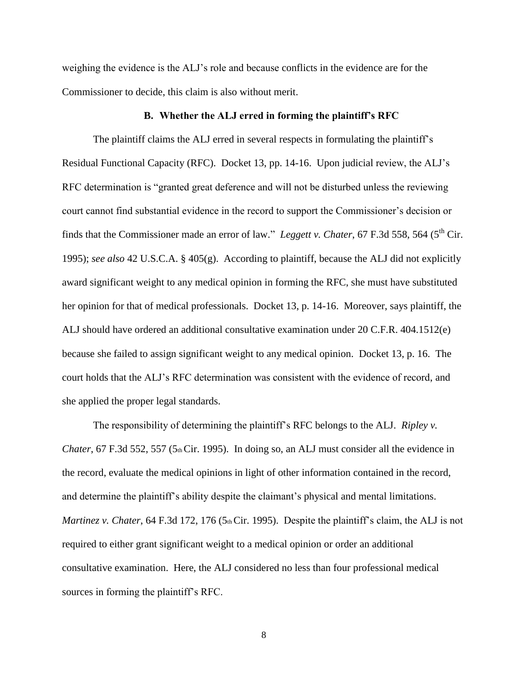weighing the evidence is the ALJ's role and because conflicts in the evidence are for the Commissioner to decide, this claim is also without merit.

# **B. Whether the ALJ erred in forming the plaintiff's RFC**

The plaintiff claims the ALJ erred in several respects in formulating the plaintiff's Residual Functional Capacity (RFC). Docket 13, pp. 14-16. Upon judicial review, the ALJ's RFC determination is "granted great deference and will not be disturbed unless the reviewing court cannot find substantial evidence in the record to support the Commissioner's decision or finds that the Commissioner made an error of law." *Leggett v. Chater*, 67 F.3d 558, 564 (5<sup>th</sup> Cir. 1995); *see also* 42 U.S.C.A. § 405(g). According to plaintiff, because the ALJ did not explicitly award significant weight to any medical opinion in forming the RFC, she must have substituted her opinion for that of medical professionals. Docket 13, p. 14-16. Moreover, says plaintiff, the ALJ should have ordered an additional consultative examination under 20 C.F.R. 404.1512(e) because she failed to assign significant weight to any medical opinion. Docket 13, p. 16. The court holds that the ALJ's RFC determination was consistent with the evidence of record, and she applied the proper legal standards.

The responsibility of determining the plaintiff's RFC belongs to the ALJ. *Ripley v. Chater*, 67 F.3d 552, 557 (5th Cir. 1995). In doing so, an ALJ must consider all the evidence in the record, evaluate the medical opinions in light of other information contained in the record, and determine the plaintiff's ability despite the claimant's physical and mental limitations. *Martinez v. Chater*, 64 F.3d 172, 176 (5th Cir. 1995). Despite the plaintiff's claim, the ALJ is not required to either grant significant weight to a medical opinion or order an additional consultative examination. Here, the ALJ considered no less than four professional medical sources in forming the plaintiff's RFC.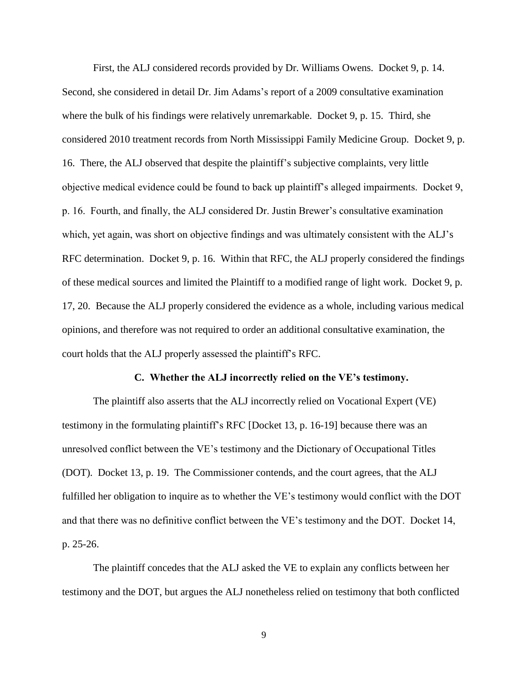First, the ALJ considered records provided by Dr. Williams Owens. Docket 9, p. 14. Second, she considered in detail Dr. Jim Adams's report of a 2009 consultative examination where the bulk of his findings were relatively unremarkable. Docket 9, p. 15. Third, she considered 2010 treatment records from North Mississippi Family Medicine Group. Docket 9, p. 16. There, the ALJ observed that despite the plaintiff's subjective complaints, very little objective medical evidence could be found to back up plaintiff's alleged impairments. Docket 9, p. 16. Fourth, and finally, the ALJ considered Dr. Justin Brewer's consultative examination which, yet again, was short on objective findings and was ultimately consistent with the ALJ's RFC determination. Docket 9, p. 16. Within that RFC, the ALJ properly considered the findings of these medical sources and limited the Plaintiff to a modified range of light work. Docket 9, p. 17, 20. Because the ALJ properly considered the evidence as a whole, including various medical opinions, and therefore was not required to order an additional consultative examination, the court holds that the ALJ properly assessed the plaintiff's RFC.

# **C. Whether the ALJ incorrectly relied on the VE's testimony.**

The plaintiff also asserts that the ALJ incorrectly relied on Vocational Expert (VE) testimony in the formulating plaintiff's RFC [Docket 13, p. 16-19] because there was an unresolved conflict between the VE's testimony and the Dictionary of Occupational Titles (DOT). Docket 13, p. 19. The Commissioner contends, and the court agrees, that the ALJ fulfilled her obligation to inquire as to whether the VE's testimony would conflict with the DOT and that there was no definitive conflict between the VE's testimony and the DOT. Docket 14, p. 25-26.

The plaintiff concedes that the ALJ asked the VE to explain any conflicts between her testimony and the DOT, but argues the ALJ nonetheless relied on testimony that both conflicted